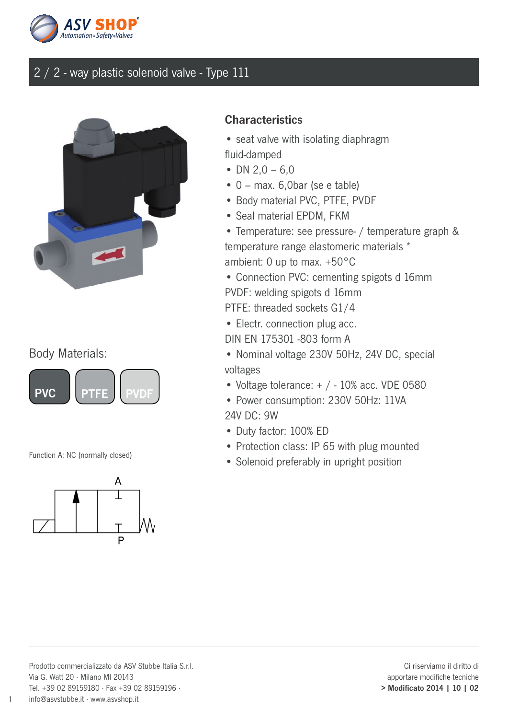



#### Body Materials:





#### **Characteristics**

- seat valve with isolating diaphragm fluid-damped
- DN  $2,0 6,0$
- 0 max. 6,0bar (se e table)
- Body material PVC, PTFE, PVDF
- Seal material EPDM, FKM
- Temperature: see pressure- / temperature graph & temperature range elastomeric materials \* ambient: 0 up to max. +50°C
- Connection PVC: cementing spigots d 16mm PVDF: welding spigots d 16mm
- PTFE: threaded sockets G1/4
- Electr. connection plug acc.
- DIN EN 175301 -803 form A
- Nominal voltage 230V 50Hz, 24V DC, special voltages
- Voltage tolerance:  $+$  / 10% acc. VDE 0580
- Power consumption: 230V 50Hz: 11VA 24V DC: 9W
- Duty factor: 100% ED
- Protection class: IP 65 with plug mounted
- Function A: NC (normally closed)<br>• Solenoid preferably in upright position

1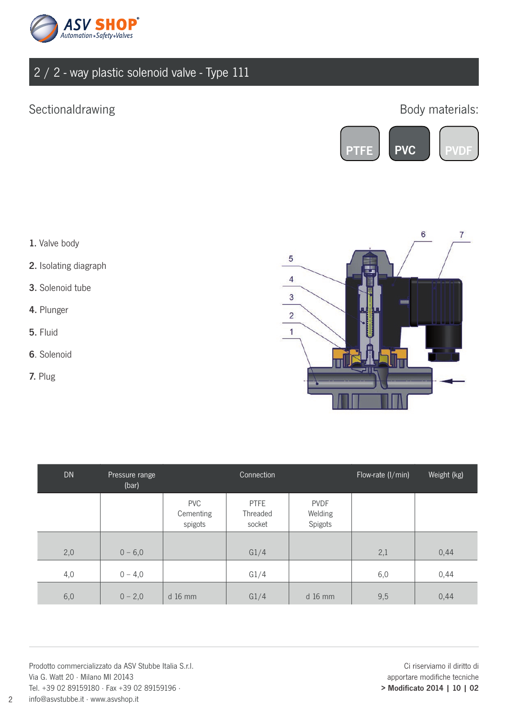

## Sectionaldrawing

### Body materials:



- 1. Valve body
- 2. Isolating diagraph
- 3. Solenoid tube
- 4. Plunger
- 5. Fluid
- 6. Solenoid
- 7. Plug



| <b>DN</b> | Pressure range<br>(bar) |                                    | Connection                        |                                   | Flow-rate (I/min) | Weight (kg) |
|-----------|-------------------------|------------------------------------|-----------------------------------|-----------------------------------|-------------------|-------------|
|           |                         | <b>PVC</b><br>Cementing<br>spigots | <b>PTFE</b><br>Threaded<br>socket | <b>PVDF</b><br>Welding<br>Spigots |                   |             |
| 2,0       | $0 - 6,0$               |                                    | G1/4                              |                                   | 2,1               | 0,44        |
| 4,0       | $0 - 4,0$               |                                    | G1/4                              |                                   | 6,0               | 0,44        |
| 6,0       | $0 - 2,0$               | $d$ 16 mm                          | G1/4                              | d 16 mm                           | 9,5               | 0,44        |

Prodotto commercializzato da ASV Stubbe Italia S.r.l. Via G. Watt 20 · Milano MI 20143 Tel. +39 02 89159180 · Fax +39 02 89159196 · info@asvstubbe.it · www.asvshop.it

Ci riserviamo il diritto di apportare modifiche tecniche > Modificato 2014 | 10 | 02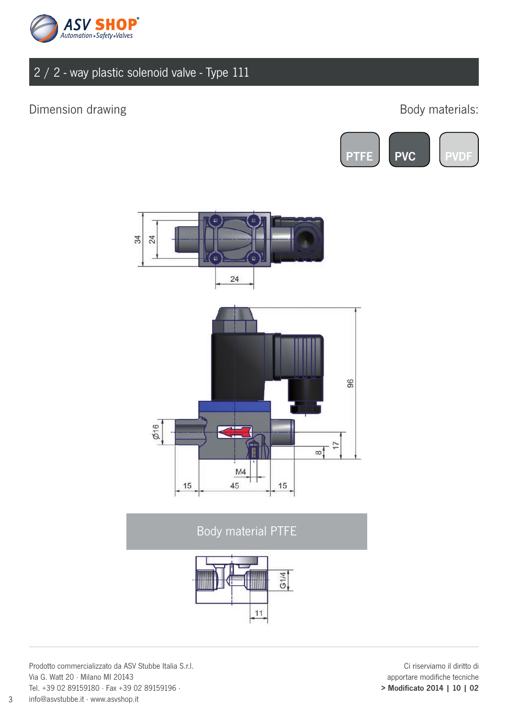

#### Dimension drawing and the state of the state of the Body materials:





Body material PTFE



Prodotto commercializzato da ASV Stubbe Italia S.r.l. Via G. Watt 20 · Milano MI 20143 Tel. +39 02 89159180 · Fax +39 02 89159196 · info@asvstubbe.it · www.asvshop.it

Ci riserviamo il diritto di apportare modifiche tecniche > Modificato 2014 | 10 | 02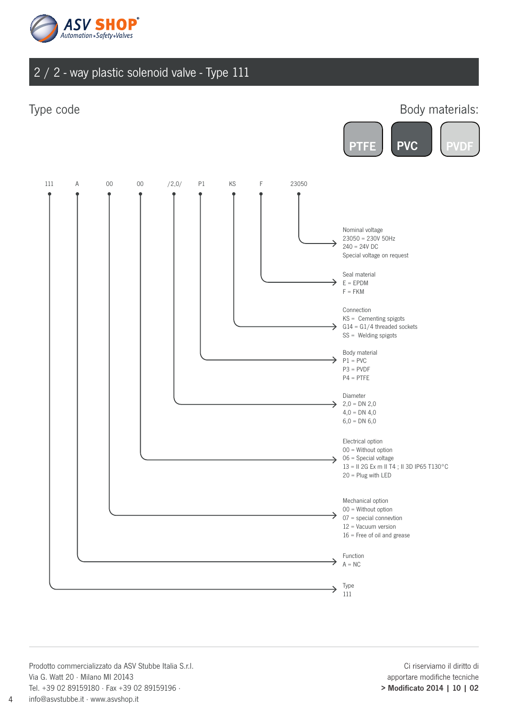

#### Type code

#### Body materials: